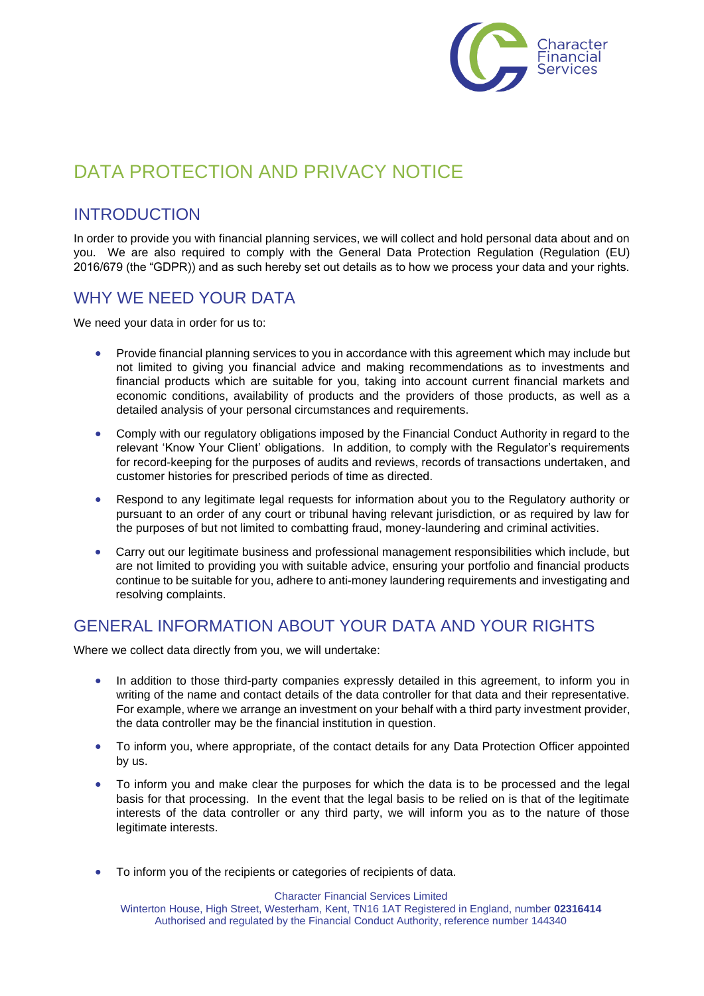

# DATA PROTECTION AND PRIVACY NOTICE

## INTRODUCTION

In order to provide you with financial planning services, we will collect and hold personal data about and on you. We are also required to comply with the General Data Protection Regulation (Regulation (EU) 2016/679 (the "GDPR)) and as such hereby set out details as to how we process your data and your rights.

### WHY WE NEED YOUR DATA

We need your data in order for us to:

- Provide financial planning services to you in accordance with this agreement which may include but not limited to giving you financial advice and making recommendations as to investments and financial products which are suitable for you, taking into account current financial markets and economic conditions, availability of products and the providers of those products, as well as a detailed analysis of your personal circumstances and requirements.
- Comply with our regulatory obligations imposed by the Financial Conduct Authority in regard to the relevant 'Know Your Client' obligations. In addition, to comply with the Regulator's requirements for record-keeping for the purposes of audits and reviews, records of transactions undertaken, and customer histories for prescribed periods of time as directed.
- Respond to any legitimate legal requests for information about you to the Regulatory authority or pursuant to an order of any court or tribunal having relevant jurisdiction, or as required by law for the purposes of but not limited to combatting fraud, money-laundering and criminal activities.
- Carry out our legitimate business and professional management responsibilities which include, but are not limited to providing you with suitable advice, ensuring your portfolio and financial products continue to be suitable for you, adhere to anti-money laundering requirements and investigating and resolving complaints.

### GENERAL INFORMATION ABOUT YOUR DATA AND YOUR RIGHTS

Where we collect data directly from you, we will undertake:

- In addition to those third-party companies expressly detailed in this agreement, to inform you in writing of the name and contact details of the data controller for that data and their representative. For example, where we arrange an investment on your behalf with a third party investment provider, the data controller may be the financial institution in question.
- To inform you, where appropriate, of the contact details for any Data Protection Officer appointed by us.
- To inform you and make clear the purposes for which the data is to be processed and the legal basis for that processing. In the event that the legal basis to be relied on is that of the legitimate interests of the data controller or any third party, we will inform you as to the nature of those legitimate interests.
- To inform you of the recipients or categories of recipients of data.

Character Financial Services Limited

Winterton House, High Street, Westerham, Kent, TN16 1AT Registered in England, number **02316414** Authorised and regulated by the Financial Conduct Authority, reference number 144340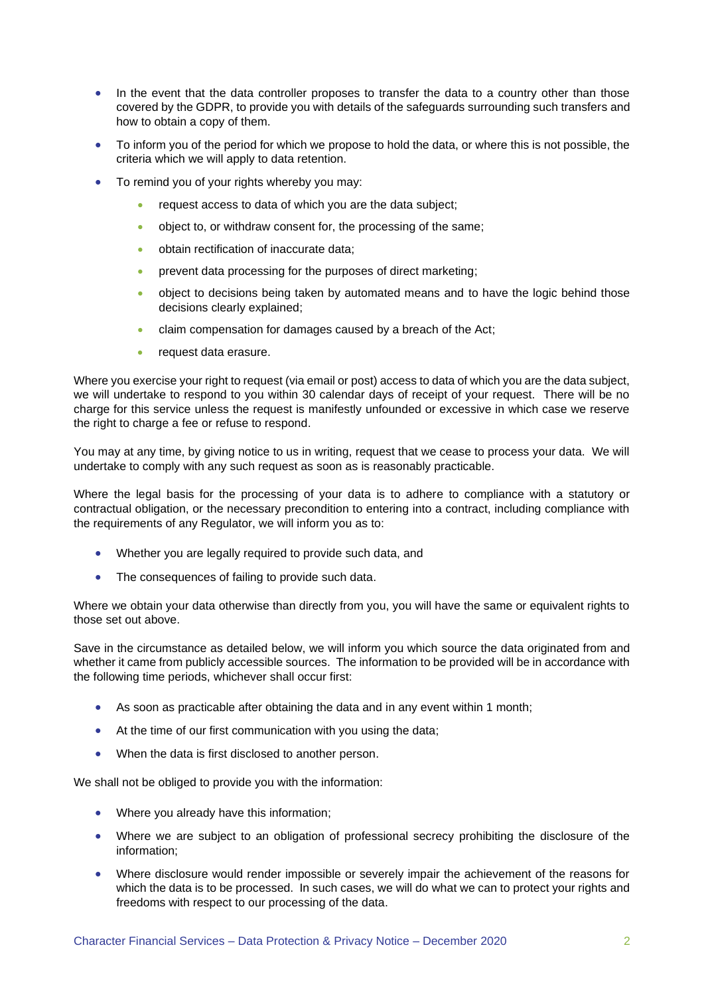- In the event that the data controller proposes to transfer the data to a country other than those covered by the GDPR, to provide you with details of the safeguards surrounding such transfers and how to obtain a copy of them.
- To inform you of the period for which we propose to hold the data, or where this is not possible, the criteria which we will apply to data retention.
- To remind you of your rights whereby you may:
	- request access to data of which you are the data subject;
	- object to, or withdraw consent for, the processing of the same;
	- obtain rectification of inaccurate data;
	- prevent data processing for the purposes of direct marketing;
	- object to decisions being taken by automated means and to have the logic behind those decisions clearly explained;
	- claim compensation for damages caused by a breach of the Act;
	- request data erasure.

Where you exercise your right to request (via email or post) access to data of which you are the data subject, we will undertake to respond to you within 30 calendar days of receipt of your request. There will be no charge for this service unless the request is manifestly unfounded or excessive in which case we reserve the right to charge a fee or refuse to respond.

You may at any time, by giving notice to us in writing, request that we cease to process your data. We will undertake to comply with any such request as soon as is reasonably practicable.

Where the legal basis for the processing of your data is to adhere to compliance with a statutory or contractual obligation, or the necessary precondition to entering into a contract, including compliance with the requirements of any Regulator, we will inform you as to:

- Whether you are legally required to provide such data, and
- The consequences of failing to provide such data.

Where we obtain your data otherwise than directly from you, you will have the same or equivalent rights to those set out above.

Save in the circumstance as detailed below, we will inform you which source the data originated from and whether it came from publicly accessible sources. The information to be provided will be in accordance with the following time periods, whichever shall occur first:

- As soon as practicable after obtaining the data and in any event within 1 month;
- At the time of our first communication with you using the data:
- When the data is first disclosed to another person.

We shall not be obliged to provide you with the information:

- Where you already have this information;
- Where we are subject to an obligation of professional secrecy prohibiting the disclosure of the information;
- Where disclosure would render impossible or severely impair the achievement of the reasons for which the data is to be processed. In such cases, we will do what we can to protect your rights and freedoms with respect to our processing of the data.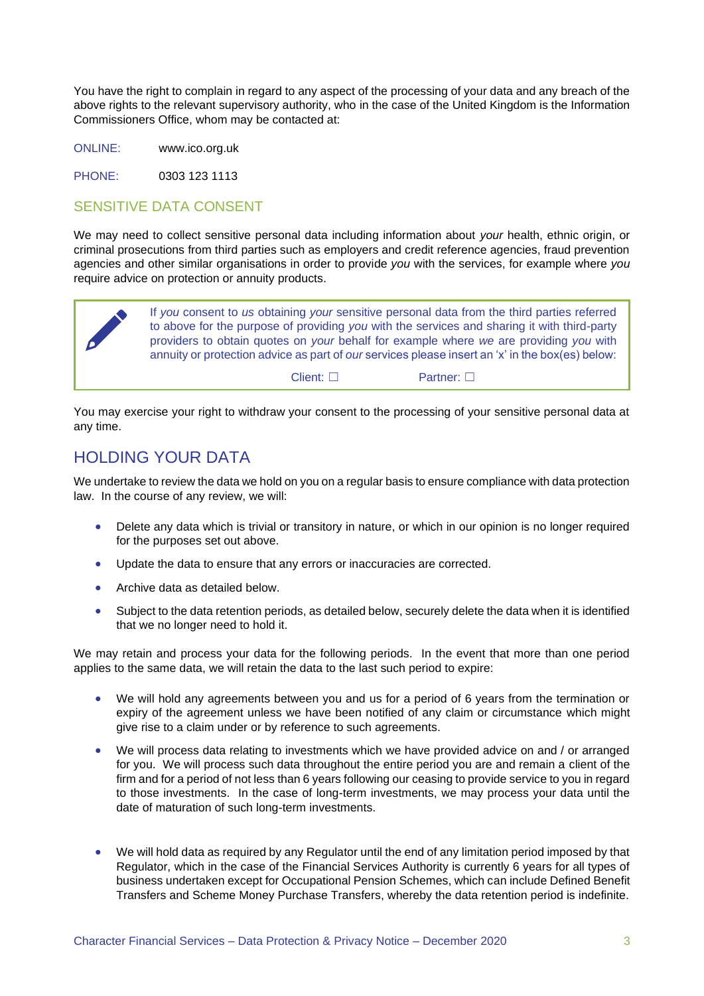You have the right to complain in regard to any aspect of the processing of your data and any breach of the above rights to the relevant supervisory authority, who in the case of the United Kingdom is the Information Commissioners Office, whom may be contacted at:

ONLINE: www.ico.org.uk

PHONE: 0303 123 1113

#### SENSITIVE DATA CONSENT

We may need to collect sensitive personal data including information about *your* health, ethnic origin, or criminal prosecutions from third parties such as employers and credit reference agencies, fraud prevention agencies and other similar organisations in order to provide *you* with the services, for example where *you*  require advice on protection or annuity products.



You may exercise your right to withdraw your consent to the processing of your sensitive personal data at any time.

#### HOLDING YOUR DATA

We undertake to review the data we hold on you on a regular basis to ensure compliance with data protection law. In the course of any review, we will:

- Delete any data which is trivial or transitory in nature, or which in our opinion is no longer required for the purposes set out above.
- Update the data to ensure that any errors or inaccuracies are corrected.
- Archive data as detailed below.
- Subject to the data retention periods, as detailed below, securely delete the data when it is identified that we no longer need to hold it.

We may retain and process your data for the following periods. In the event that more than one period applies to the same data, we will retain the data to the last such period to expire:

- We will hold any agreements between you and us for a period of 6 years from the termination or expiry of the agreement unless we have been notified of any claim or circumstance which might give rise to a claim under or by reference to such agreements.
- We will process data relating to investments which we have provided advice on and / or arranged for you. We will process such data throughout the entire period you are and remain a client of the firm and for a period of not less than 6 years following our ceasing to provide service to you in regard to those investments. In the case of long-term investments, we may process your data until the date of maturation of such long-term investments.
- We will hold data as required by any Regulator until the end of any limitation period imposed by that Regulator, which in the case of the Financial Services Authority is currently 6 years for all types of business undertaken except for Occupational Pension Schemes, which can include Defined Benefit Transfers and Scheme Money Purchase Transfers, whereby the data retention period is indefinite.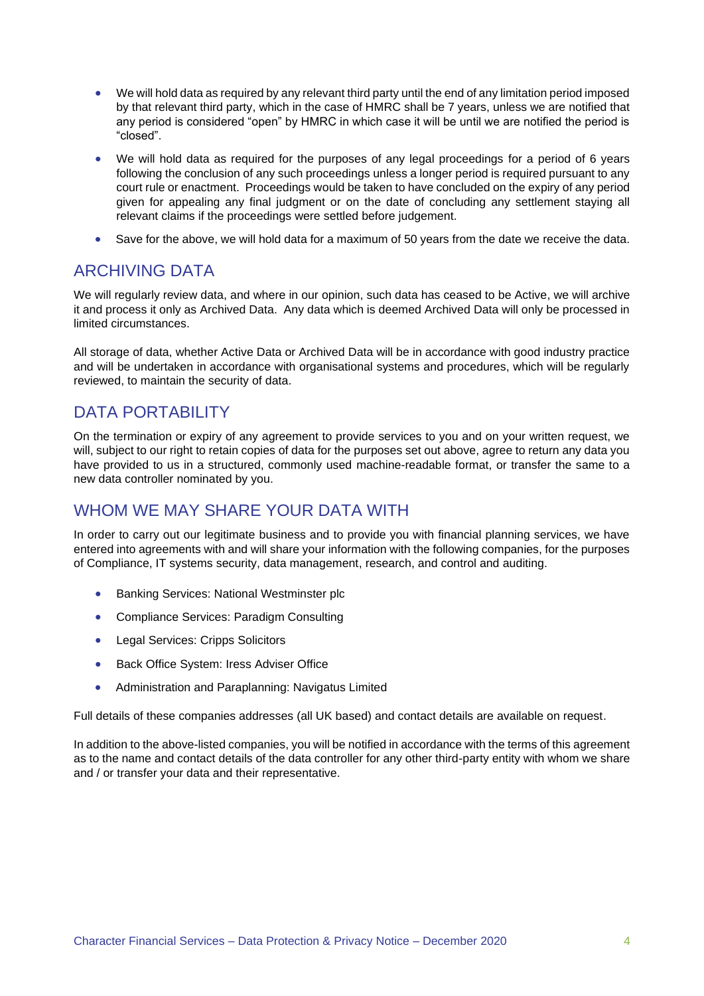- We will hold data as required by any relevant third party until the end of any limitation period imposed by that relevant third party, which in the case of HMRC shall be 7 years, unless we are notified that any period is considered "open" by HMRC in which case it will be until we are notified the period is "closed".
- We will hold data as required for the purposes of any legal proceedings for a period of 6 years following the conclusion of any such proceedings unless a longer period is required pursuant to any court rule or enactment. Proceedings would be taken to have concluded on the expiry of any period given for appealing any final judgment or on the date of concluding any settlement staying all relevant claims if the proceedings were settled before judgement.
- Save for the above, we will hold data for a maximum of 50 years from the date we receive the data.

#### ARCHIVING DATA

We will regularly review data, and where in our opinion, such data has ceased to be Active, we will archive it and process it only as Archived Data. Any data which is deemed Archived Data will only be processed in limited circumstances.

All storage of data, whether Active Data or Archived Data will be in accordance with good industry practice and will be undertaken in accordance with organisational systems and procedures, which will be regularly reviewed, to maintain the security of data.

## DATA PORTABILITY

On the termination or expiry of any agreement to provide services to you and on your written request, we will, subject to our right to retain copies of data for the purposes set out above, agree to return any data you have provided to us in a structured, commonly used machine-readable format, or transfer the same to a new data controller nominated by you.

## WHOM WE MAY SHARE YOUR DATA WITH

In order to carry out our legitimate business and to provide you with financial planning services, we have entered into agreements with and will share your information with the following companies, for the purposes of Compliance, IT systems security, data management, research, and control and auditing.

- Banking Services: National Westminster plc
- Compliance Services: Paradigm Consulting
- Legal Services: Cripps Solicitors
- Back Office System: Iress Adviser Office
- Administration and Paraplanning: Navigatus Limited

Full details of these companies addresses (all UK based) and contact details are available on request.

In addition to the above-listed companies, you will be notified in accordance with the terms of this agreement as to the name and contact details of the data controller for any other third-party entity with whom we share and / or transfer your data and their representative.